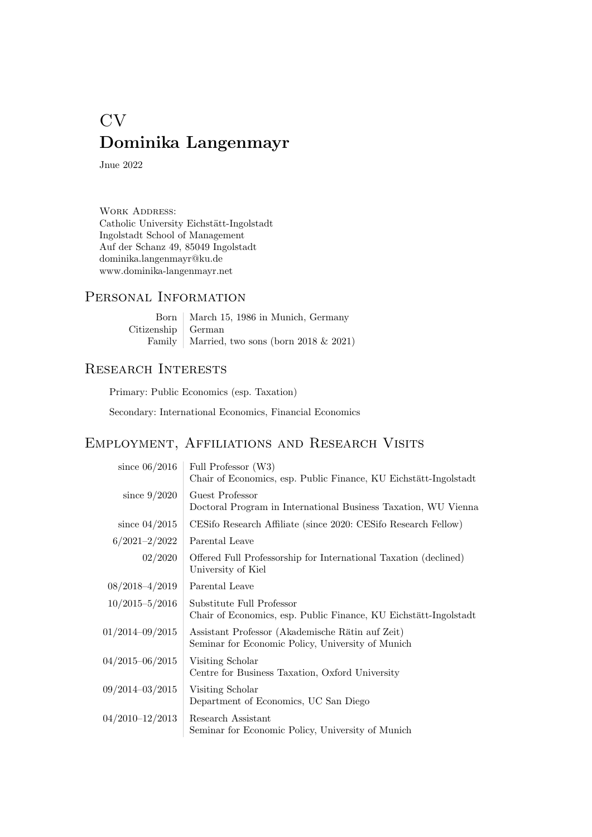# CV Dominika Langenmayr

Jnue 2022

WORK ADDRESS: Catholic University Eichstätt-Ingolstadt Ingolstadt School of Management Auf der Schanz 49, 85049 Ingolstadt dominika.langenmayr@ku.de www.dominika-langenmayr.net

#### Personal Information

Born | March 15, 1986 in Munich, Germany Citizenship German Family Married, two sons (born 2018  $& 2021$ )

#### Research Interests

Primary: Public Economics (esp. Taxation)

Secondary: International Economics, Financial Economics

## Employment, Affiliations and Research Visits

| since $06/2016$     | Full Professor (W3)<br>Chair of Economics, esp. Public Finance, KU Eichstätt-Ingolstadt               |
|---------------------|-------------------------------------------------------------------------------------------------------|
| since $9/2020$      | Guest Professor<br>Doctoral Program in International Business Taxation, WU Vienna                     |
| since $04/2015$     | CESifo Research Affiliate (since 2020: CESifo Research Fellow)                                        |
| $6/2021 - 2/2022$   | Parental Leave                                                                                        |
| 02/2020             | Offered Full Professorship for International Taxation (declined)<br>University of Kiel                |
| $08/2018 - 4/2019$  | Parental Leave                                                                                        |
| $10/2015 - 5/2016$  | Substitute Full Professor<br>Chair of Economics, esp. Public Finance, KU Eichstätt-Ingolstadt         |
| $01/2014 - 09/2015$ | Assistant Professor (Akademische Rätin auf Zeit)<br>Seminar for Economic Policy, University of Munich |
| 04/2015-06/2015     | Visiting Scholar<br>Centre for Business Taxation, Oxford University                                   |
| 09/2014-03/2015     | Visiting Scholar<br>Department of Economics, UC San Diego                                             |
| 04/2010-12/2013     | Research Assistant<br>Seminar for Economic Policy, University of Munich                               |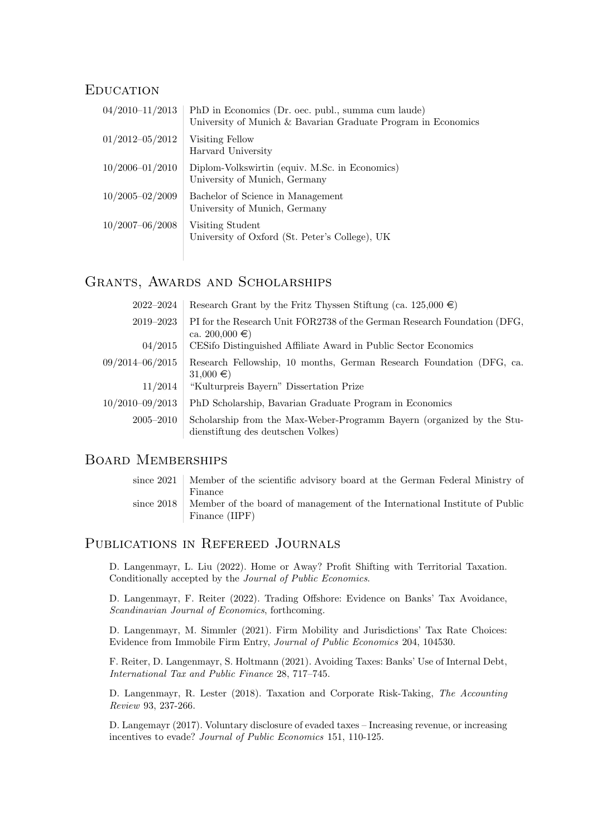#### **EDUCATION**

| $04/2010 - 11/2013$ | PhD in Economics (Dr. oec. publ., summa cum laude)<br>University of Munich & Bavarian Graduate Program in Economics |
|---------------------|---------------------------------------------------------------------------------------------------------------------|
| $01/2012 - 05/2012$ | Visiting Fellow<br>Harvard University                                                                               |
| $10/2006 - 01/2010$ | Diplom-Volkswirtin (equiv. M.Sc. in Economics)<br>University of Munich, Germany                                     |
| $10/2005 - 02/2009$ | Bachelor of Science in Management<br>University of Munich, Germany                                                  |
| $10/2007 - 06/2008$ | Visiting Student<br>University of Oxford (St. Peter's College), UK                                                  |

## Grants, Awards and Scholarships

| $2022 - 2024$       | Research Grant by the Fritz Thyssen Stiftung (ca. 125,000 $\in$ )                                           |
|---------------------|-------------------------------------------------------------------------------------------------------------|
| 2019–2023           | PI for the Research Unit FOR2738 of the German Research Foundation (DFG,<br>ca. 200,000 $\in$ )             |
| 04/2015             | CESifo Distinguished Affiliate Award in Public Sector Economics                                             |
| $09/2014 - 06/2015$ | Research Fellowship, 10 months, German Research Foundation (DFG, ca.<br>$31,000 \in \mathcal{E}$            |
| 11/2014             | "Kulturpreis Bayern" Dissertation Prize                                                                     |
| $10/2010 - 09/2013$ | PhD Scholarship, Bavarian Graduate Program in Economics                                                     |
| $2005 - 2010$       | Scholarship from the Max-Weber-Programm Bayern (organized by the Stu-<br>dienstiftung des deutschen Volkes) |

#### BOARD MEMBERSHIPS

| since 2021   Member of the scientific advisory board at the German Federal Ministry of  |
|-----------------------------------------------------------------------------------------|
| Finance                                                                                 |
| since 2018   Member of the board of management of the International Institute of Public |
| Finance (IIPF)                                                                          |

#### Publications in Refereed Journals

D. Langenmayr, L. Liu (2022). Home or Away? Profit Shifting with Territorial Taxation. Conditionally accepted by the Journal of Public Economics.

D. Langenmayr, F. Reiter (2022). Trading Offshore: Evidence on Banks' Tax Avoidance, Scandinavian Journal of Economics, forthcoming.

D. Langenmayr, M. Simmler (2021). Firm Mobility and Jurisdictions' Tax Rate Choices: Evidence from Immobile Firm Entry, Journal of Public Economics 204, 104530.

F. Reiter, D. Langenmayr, S. Holtmann (2021). Avoiding Taxes: Banks' Use of Internal Debt, International Tax and Public Finance 28, 717–745.

D. Langenmayr, R. Lester (2018). Taxation and Corporate Risk-Taking, The Accounting Review 93, 237-266.

D. Langemayr (2017). Voluntary disclosure of evaded taxes – Increasing revenue, or increasing incentives to evade? Journal of Public Economics 151, 110-125.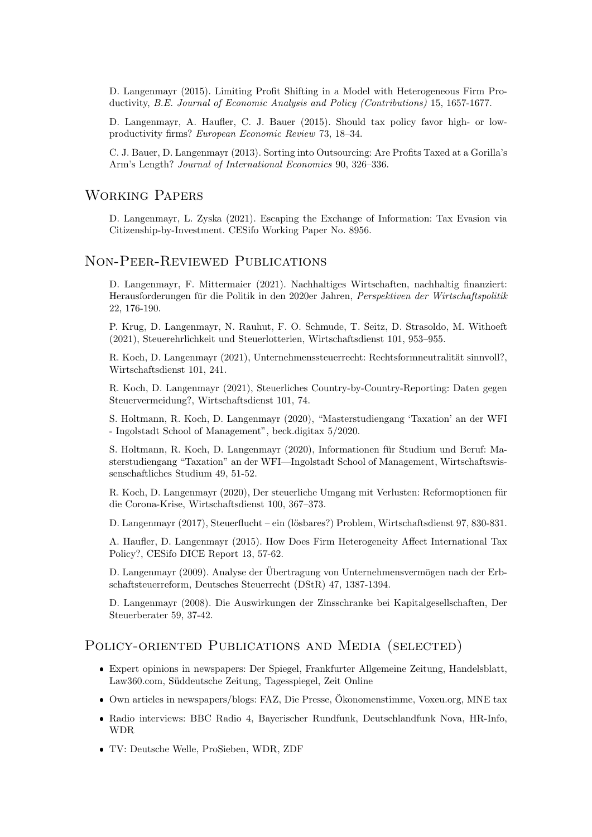D. Langenmayr (2015). Limiting Profit Shifting in a Model with Heterogeneous Firm Productivity, B.E. Journal of Economic Analysis and Policy (Contributions) 15, 1657-1677.

D. Langenmayr, A. Haufler, C. J. Bauer (2015). Should tax policy favor high- or lowproductivity firms? European Economic Review 73, 18–34.

C. J. Bauer, D. Langenmayr (2013). Sorting into Outsourcing: Are Profits Taxed at a Gorilla's Arm's Length? Journal of International Economics 90, 326–336.

#### Working Papers

D. Langenmayr, L. Zyska (2021). Escaping the Exchange of Information: Tax Evasion via Citizenship-by-Investment. CESifo Working Paper No. 8956.

#### Non-Peer-Reviewed Publications

D. Langenmayr, F. Mittermaier (2021). Nachhaltiges Wirtschaften, nachhaltig finanziert: Herausforderungen für die Politik in den 2020er Jahren, Perspektiven der Wirtschaftspolitik 22, 176-190.

P. Krug, D. Langenmayr, N. Rauhut, F. O. Schmude, T. Seitz, D. Strasoldo, M. Withoeft (2021), Steuerehrlichkeit und Steuerlotterien, Wirtschaftsdienst 101, 953–955.

R. Koch, D. Langenmayr (2021), Unternehmenssteuerrecht: Rechtsformneutralität sinnvoll?, Wirtschaftsdienst 101, 241.

R. Koch, D. Langenmayr (2021), Steuerliches Country-by-Country-Reporting: Daten gegen Steuervermeidung?, Wirtschaftsdienst 101, 74.

S. Holtmann, R. Koch, D. Langenmayr (2020), "Masterstudiengang 'Taxation' an der WFI - Ingolstadt School of Management", beck.digitax 5/2020.

S. Holtmann, R. Koch, D. Langenmayr (2020), Informationen für Studium und Beruf: Masterstudiengang "Taxation" an der WFI—Ingolstadt School of Management, Wirtschaftswissenschaftliches Studium 49, 51-52.

R. Koch, D. Langenmayr (2020), Der steuerliche Umgang mit Verlusten: Reformoptionen für die Corona-Krise, Wirtschaftsdienst 100, 367–373.

D. Langenmayr (2017), Steuerflucht – ein (lösbares?) Problem, Wirtschaftsdienst 97, 830-831.

A. Haufler, D. Langenmayr (2015). How Does Firm Heterogeneity Affect International Tax Policy?, CESifo DICE Report 13, 57-62.

D. Langenmayr (2009). Analyse der Übertragung von Unternehmensvermögen nach der Erbschaftsteuerreform, Deutsches Steuerrecht (DStR) 47, 1387-1394.

D. Langenmayr (2008). Die Auswirkungen der Zinsschranke bei Kapitalgesellschaften, Der Steuerberater 59, 37-42.

#### POLICY-ORIENTED PUBLICATIONS AND MEDIA (SELECTED)

- Expert opinions in newspapers: Der Spiegel, Frankfurter Allgemeine Zeitung, Handelsblatt, Law360.com, Suddeutsche Zeitung, Tagesspiegel, Zeit Online ¨
- Own articles in newspapers/blogs: FAZ, Die Presse, Okonomenstimme, Voxeu.org, MNE tax ¨
- Radio interviews: BBC Radio 4, Bayerischer Rundfunk, Deutschlandfunk Nova, HR-Info, WDR
- TV: Deutsche Welle, ProSieben, WDR, ZDF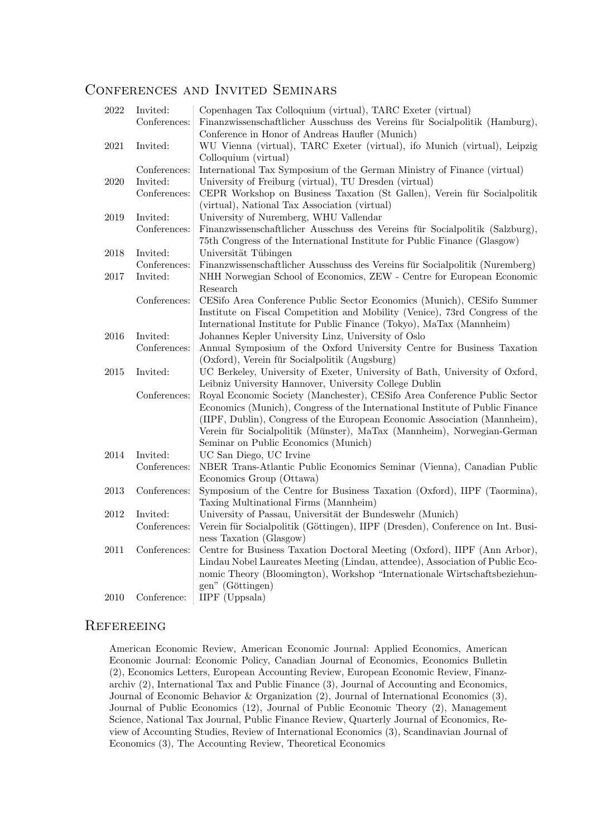#### Conferences and Invited Seminars

| 2022 | Invited:     | Copenhagen Tax Colloquium (virtual), TARC Exeter (virtual)                     |
|------|--------------|--------------------------------------------------------------------------------|
|      | Conferences: | Finanzwissenschaftlicher Ausschuss des Vereins für Socialpolitik (Hamburg),    |
|      |              | Conference in Honor of Andreas Haufler (Munich)                                |
| 2021 | Invited:     | WU Vienna (virtual), TARC Exeter (virtual), ifo Munich (virtual), Leipzig      |
|      |              | Colloquium (virtual)                                                           |
|      | Conferences: | International Tax Symposium of the German Ministry of Finance (virtual)        |
| 2020 | Invited:     | University of Freiburg (virtual), TU Dresden (virtual)                         |
|      | Conferences: | CEPR Workshop on Business Taxation (St Gallen), Verein für Socialpolitik       |
|      |              | (virtual), National Tax Association (virtual)                                  |
| 2019 | Invited:     | University of Nuremberg, WHU Vallendar                                         |
|      | Conferences: | Finanzwissenschaftlicher Ausschuss des Vereins für Socialpolitik (Salzburg),   |
|      |              | 75th Congress of the International Institute for Public Finance (Glasgow)      |
| 2018 | Invited:     | Universität Tübingen                                                           |
|      | Conferences: | Finanzwissenschaftlicher Ausschuss des Vereins für Socialpolitik (Nuremberg)   |
| 2017 | Invited:     | NHH Norwegian School of Economics, ZEW - Centre for European Economic          |
|      |              | Research                                                                       |
|      | Conferences: | CESifo Area Conference Public Sector Economics (Munich), CESifo Summer         |
|      |              | Institute on Fiscal Competition and Mobility (Venice), 73rd Congress of the    |
|      |              | International Institute for Public Finance (Tokyo), MaTax (Mannheim)           |
| 2016 | Invited:     | Johannes Kepler University Linz, University of Oslo                            |
|      | Conferences: | Annual Symposium of the Oxford University Centre for Business Taxation         |
|      |              | (Oxford), Verein für Socialpolitik (Augsburg)                                  |
| 2015 | Invited:     | UC Berkeley, University of Exeter, University of Bath, University of Oxford,   |
|      |              | Leibniz University Hannover, University College Dublin                         |
|      | Conferences: | Royal Economic Society (Manchester), CESifo Area Conference Public Sector      |
|      |              | Economics (Munich), Congress of the International Institute of Public Finance  |
|      |              | (IIPF, Dublin), Congress of the European Economic Association (Mannheim),      |
|      |              | Verein für Socialpolitik (Münster), MaTax (Mannheim), Norwegian-German         |
|      |              | Seminar on Public Economics (Munich)                                           |
| 2014 | Invited:     | UC San Diego, UC Irvine                                                        |
|      | Conferences: | NBER Trans-Atlantic Public Economics Seminar (Vienna), Canadian Public         |
|      |              | Economics Group (Ottawa)                                                       |
| 2013 | Conferences: | Symposium of the Centre for Business Taxation (Oxford), IIPF (Taormina),       |
|      |              | Taxing Multinational Firms (Mannheim)                                          |
| 2012 | Invited:     | University of Passau, Universität der Bundeswehr (Munich)                      |
|      | Conferences: | Verein für Socialpolitik (Göttingen), IIPF (Dresden), Conference on Int. Busi- |
|      |              | ness Taxation (Glasgow)                                                        |
| 2011 | Conferences: | Centre for Business Taxation Doctoral Meeting (Oxford), IIPF (Ann Arbor),      |
|      |              | Lindau Nobel Laureates Meeting (Lindau, attendee), Association of Public Eco-  |
|      |              | nomic Theory (Bloomington), Workshop "Internationale Wirtschaftsbeziehun-      |
|      |              | gen" (Göttingen)                                                               |
| 2010 | Conference:  | IIPF (Uppsala)                                                                 |

#### **REFEREEING**

American Economic Review, American Economic Journal: Applied Economics, American Economic Journal: Economic Policy, Canadian Journal of Economics, Economics Bulletin (2), Economics Letters, European Accounting Review, European Economic Review, Finanzarchiv (2), International Tax and Public Finance (3), Journal of Accounting and Economics, Journal of Economic Behavior & Organization (2), Journal of International Economics (3), Journal of Public Economics (12), Journal of Public Economic Theory (2), Management Science, National Tax Journal, Public Finance Review, Quarterly Journal of Economics, Review of Accounting Studies, Review of International Economics (3), Scandinavian Journal of Economics (3), The Accounting Review, Theoretical Economics